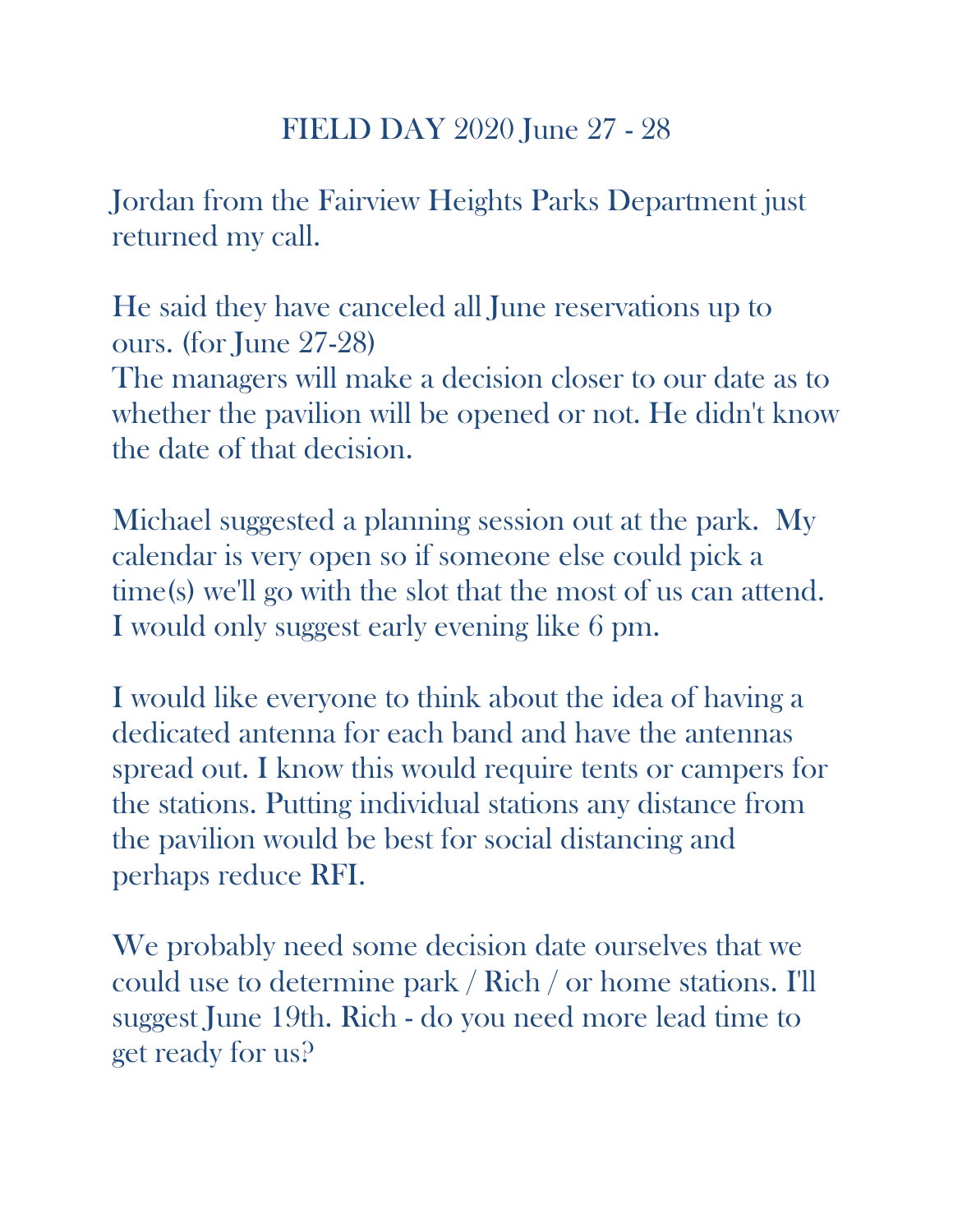## FIELD DAY 2020 June 27 - 28

Jordan from the Fairview Heights Parks Department just returned my call.

He said they have canceled all June reservations up to ours. (for June 27-28) The managers will make a decision closer to our date as to whether the pavilion will be opened or not. He didn't know the date of that decision.

Michael suggested a planning session out at the park. My calendar is very open so if someone else could pick a time(s) we'll go with the slot that the most of us can attend. I would only suggest early evening like 6 pm.

I would like everyone to think about the idea of having a dedicated antenna for each band and have the antennas spread out. I know this would require tents or campers for the stations. Putting individual stations any distance from the pavilion would be best for social distancing and perhaps reduce RFI.

We probably need some decision date ourselves that we could use to determine park / Rich / or home stations. I'll suggest June 19th. Rich - do you need more lead time to get ready for us?